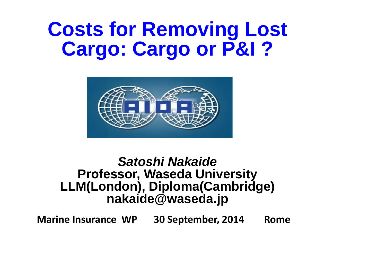# **Costs for Removing Lost Cargo: Cargo or P&I ?**



# *Satoshi Nakaide* **Professor, Waseda University LLM(London), Diploma(Cambridge) nakaide@waseda.jp**

**Marine Insurance WP 30 September, 2014 Rome**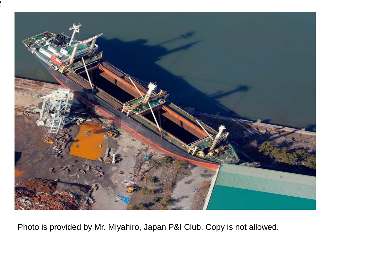

Photo is provided by Mr. Miyahiro, Japan P&I Club. Copy is not allowed.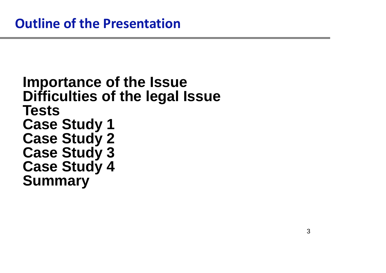**Importance of the Issue Difficulties of the legal Issue Tests Case Study 1 Case Study 2 Case Study 3 Case Study 4 Summary**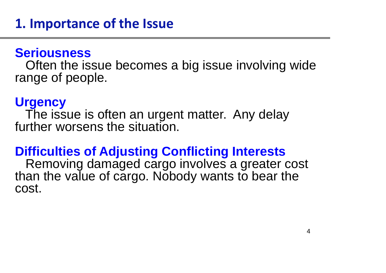### **Seriousness**

Often the issue becomes a big issue involving wide range of people.

### **Urgency**

The issue is often an urgent matter. Any delay further worsens the situation.

### **Difficulties of Adjusting Conflicting Interests**

Removing damaged cargo involves a greater cost than the value of cargo. Nobody wants to bear the cost.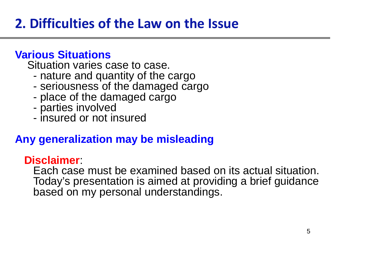# **2. Difficulties of the Law on the Issue**

### **Various Situations**

Situation varies case to case.

- nature and quantity of the cargo
- seriousness of the damaged cargo
- place of the damaged cargo
- parties involved
- insured or not insured

### **Any generalization may be misleading**

### **Disclaimer**:

Each case must be examined based on its actual situation. Today's presentation is aimed at providing a brief guidance based on my personal understandings.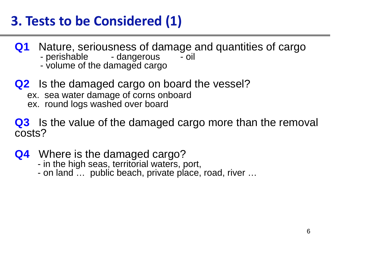# **3. Tests to be Considered (1)**

- **Q1** Nature, seriousness of damage and quantities of cargo<br>- perishable dangerous oil
	- perishable
	- volume of the damaged cargo
- **Q2** Is the damaged cargo on board the vessel?
	- ex. sea water damage of corns onboard
	- ex. round logs washed over board

**Q3** Is the value of the damaged cargo more than the removal costs?

- **Q4** Where is the damaged cargo?
	- in the high seas, territorial waters, port,
	- on land … public beach, private place, road, river …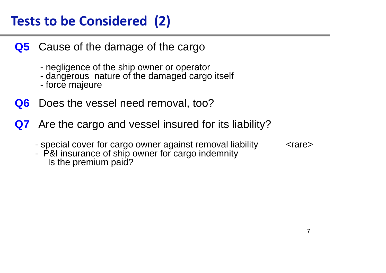# **Tests to be Considered (2)**

- **Q5** Cause of the damage of the cargo
	- negligence of the ship owner or operator
	- dangerous nature of the damaged cargo itself
	- force majeure
- **Q6** Does the vessel need removal, too?
- **Q7** Are the cargo and vessel insured for its liability?
	- special cover for cargo owner against removal liability <rare>
	- P&I insurance of ship owner for cargo indemnity Is the premium paid?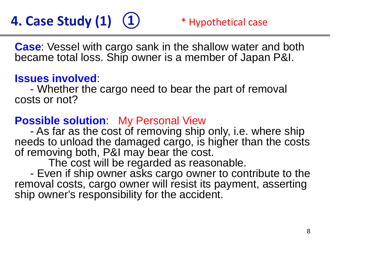# **4. Case Study (1) (1)** \* Hypothetical case

**Case**: Vessel with cargo sank in the shallow water and both became total loss. Ship owner is a member of Japan P&I.

#### **Issues involved**:

- Whether the cargo need to bear the part of removal costs or not?

### **Possible solution**: My Personal View

- As far as the cost of removing ship only, i.e. where ship needs to unload the damaged cargo, is higher than the costs of removing both, P&I may bear the cost.

The cost will be regarded as reasonable.

- Even if ship owner asks cargo owner to contribute to the removal costs, cargo owner will resist its payment, asserting ship owner's responsibility for the accident.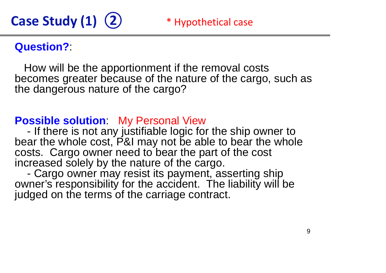### **Question?**:

How will be the apportionment if the removal costs becomes greater because of the nature of the cargo, such as the dangerous nature of the cargo?

### **Possible solution**: My Personal View

- If there is not any justifiable logic for the ship owner to bear the whole cost, P&I may not be able to bear the whole costs. Cargo owner need to bear the part of the cost increased solely by the nature of the cargo.

- Cargo owner may resist its payment, asserting ship owner's responsibility for the accident. The liability will be judged on the terms of the carriage contract.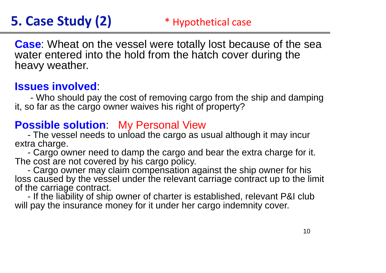# **5. Case Study (2)** \* Hypothetical case

**Case**: Wheat on the vessel were totally lost because of the sea water entered into the hold from the hatch cover during the heavy weather.

### **Issues involved**:

- Who should pay the cost of removing cargo from the ship and damping it, so far as the cargo owner waives his right of property?

### **Possible solution**: My Personal View

- The vessel needs to unload the cargo as usual although it may incur extra charge.

- Cargo owner need to damp the cargo and bear the extra charge for it. The cost are not covered by his cargo policy.

- Cargo owner may claim compensation against the ship owner for his loss caused by the vessel under the relevant carriage contract up to the limit of the carriage contract.

- If the liability of ship owner of charter is established, relevant P&I club will pay the insurance money for it under her cargo indemnity cover.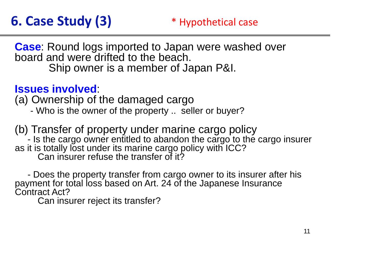# **6. Case Study (3)** \* Hypothetical case

**Case**: Round logs imported to Japan were washed over board and were drifted to the beach.

Ship owner is a member of Japan P&I.

#### **Issues involved**:

(a) Ownership of the damaged cargo

- Who is the owner of the property .. seller or buyer?

(b) Transfer of property under marine cargo policy

- Is the cargo owner entitled to abandon the cargo to the cargo insurer as it is totally lost under its marine cargo policy with ICC?

Can insurer refuse the transfer of it?

- Does the property transfer from cargo owner to its insurer after his payment for total loss based on Art. 24 of the Japanese Insurance Contract Act?

Can insurer reject its transfer?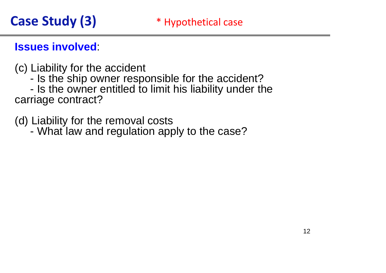### **Issues involved**:

- (c) Liability for the accident
	- Is the ship owner responsible for the accident?

- Is the owner entitled to limit his liability under the carriage contract?

- (d) Liability for the removal costs
	- What law and regulation apply to the case?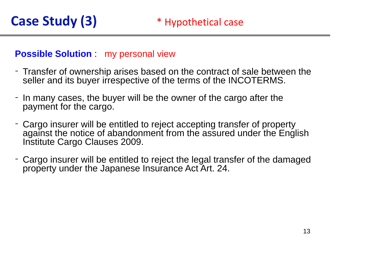#### **Possible Solution** : my personal view

- Transfer of ownership arises based on the contract of sale between the seller and its buyer irrespective of the terms of the INCOTERMS.
- In many cases, the buyer will be the owner of the cargo after the payment for the cargo.
- Cargo insurer will be entitled to reject accepting transfer of property against the notice of abandonment from the assured under the English Institute Cargo Clauses 2009.
- Cargo insurer will be entitled to reject the legal transfer of the damaged property under the Japanese Insurance Act Art. 24.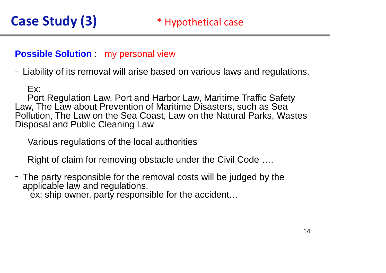#### **Possible Solution** : my personal view

- Liability of its removal will arise based on various laws and regulations.

Ex:

Port Regulation Law, Port and Harbor Law, Maritime Traffic Safety Law, The Law about Prevention of Maritime Disasters, such as Sea Pollution, The Law on the Sea Coast, Law on the Natural Parks, Wastes Disposal and Public Cleaning Law

Various regulations of the local authorities

Right of claim for removing obstacle under the Civil Code ….

- The party responsible for the removal costs will be judged by the applicable law and regulations.

ex: ship owner, party responsible for the accident…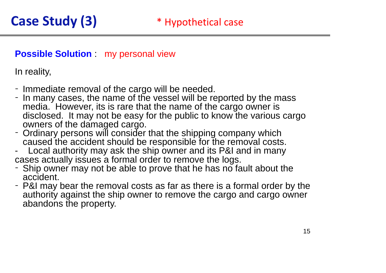#### **Possible Solution** : my personal view

In reality,

- 
- Immediate removal of the cargo will be needed.<br>- In many cases, the name of the vessel will be reported by the mass media. However, its is rare that the name of the cargo owner is disclosed. It may not be easy for the public to know the various cargo owners of the damaged cargo.
- Ordinary persons will consider that the shipping company which caused the accident should be responsible for the removal costs.
- Local authority may ask the ship owner and its P&I and in many cases actually issues a formal order to remove the logs.
- Ship owner may not be able to prove that he has no fault about the accident.
- P&I may bear the removal costs as far as there is a formal order by the authority against the ship owner to remove the cargo and cargo owner abandons the property.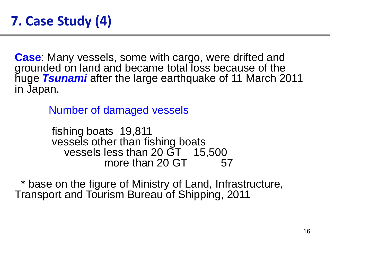# **7. Case Study (4)**

**Case**: Many vessels, some with cargo, were drifted and grounded on land and became total loss because of the huge *Tsunami* after the large earthquake of 11 March 2011 in Japan.

Number of damaged vessels

fishing boats 19,811 vessels other than fishing boats vessels less than 20 GT 15,500 more than 20 GT 57

\* base on the figure of Ministry of Land, Infrastructure, Transport and Tourism Bureau of Shipping, 2011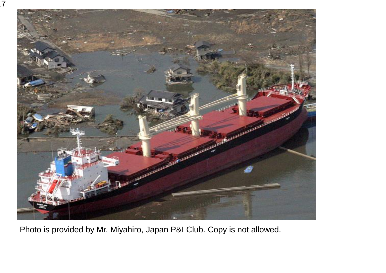

17

Photo is provided by Mr. Miyahiro, Japan P&I Club. Copy is not allowed.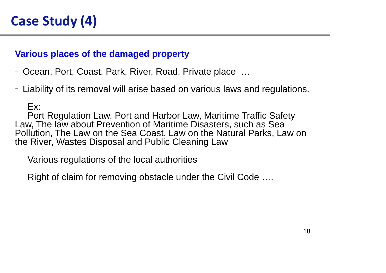# **Case Study (4)**

#### **Various places of the damaged property**

- Ocean, Port, Coast, Park, River, Road, Private place …

- Liability of its removal will arise based on various laws and regulations.

Ex:

Port Regulation Law, Port and Harbor Law, Maritime Traffic Safety Law, The law about Prevention of Maritime Disasters, such as Sea Pollution, The Law on the Sea Coast, Law on the Natural Parks, Law on the River, Wastes Disposal and Public Cleaning Law

Various regulations of the local authorities

Right of claim for removing obstacle under the Civil Code ….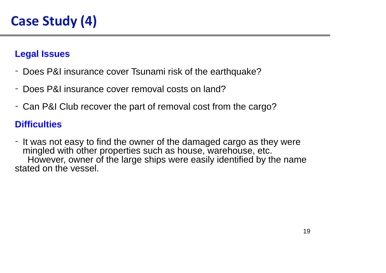#### **Legal Issues**

- Does P&I insurance cover Tsunami risk of the earthquake?
- Does P&I insurance cover removal costs on land?
- Can P&I Club recover the part of removal cost from the cargo?

#### **Difficulties**

- It was not easy to find the owner of the damaged cargo as they were mingled with other properties such as house, warehouse, etc. However, owner of the large ships were easily identified by the name stated on the vessel.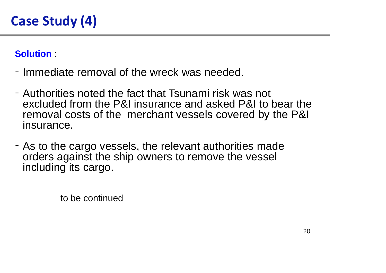**Solution** :

- Immediate removal of the wreck was needed.
- Authorities noted the fact that Tsunami risk was not excluded from the P&I insurance and asked P&I to bear the removal costs of the merchant vessels covered by the P&I insurance.
- As to the cargo vessels, the relevant authorities made orders against the ship owners to remove the vessel including its cargo.

to be continued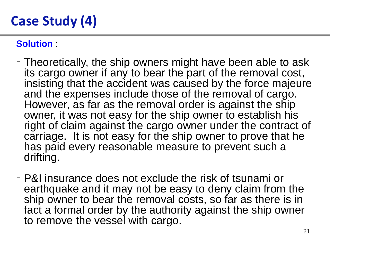# **Case Study (4)**

#### **Solution** :

- Theoretically, the ship owners might have been able to ask its cargo owner if any to bear the part of the removal cost, insisting that the accident was caused by the force majeure and the expenses include those of the removal of cargo. However, as far as the removal order is against the ship owner, it was not easy for the ship owner to establish his right of claim against the cargo owner under the contract of carriage. It is not easy for the ship owner to prove that he has paid every reasonable measure to prevent such a drifting.
- P&I insurance does not exclude the risk of tsunami or earthquake and it may not be easy to deny claim from the ship owner to bear the removal costs, so far as there is in fact a formal order by the authority against the ship owner to remove the vessel with cargo.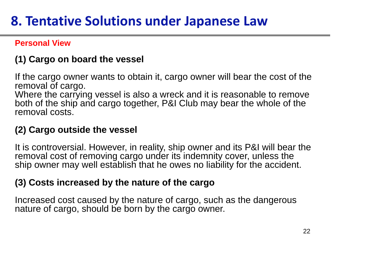## **8. Tentative Solutions under Japanese Law**

#### **Personal View**

#### **(1) Cargo on board the vessel**

If the cargo owner wants to obtain it, cargo owner will bear the cost of the removal of cargo.

Where the carrying vessel is also a wreck and it is reasonable to remove both of the ship and cargo together, P&I Club may bear the whole of the removal costs.

#### **(2) Cargo outside the vessel**

It is controversial. However, in reality, ship owner and its P&I will bear the removal cost of removing cargo under its indemnity cover, unless the ship owner may well establish that he owes no liability for the accident.

#### **(3) Costs increased by the nature of the cargo**

Increased cost caused by the nature of cargo, such as the dangerous nature of cargo, should be born by the cargo owner.